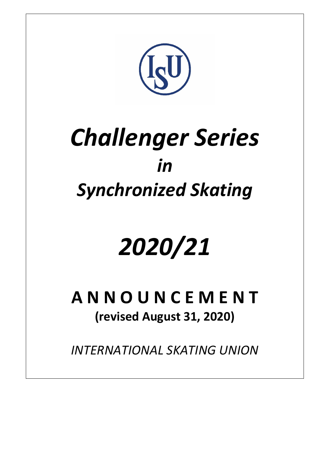

# *Challenger Series in Synchronized Skating*

# *2020/21*

**A N N O U N C E M E N T (revised August 31, 2020)**

*INTERNATIONAL SKATING UNION*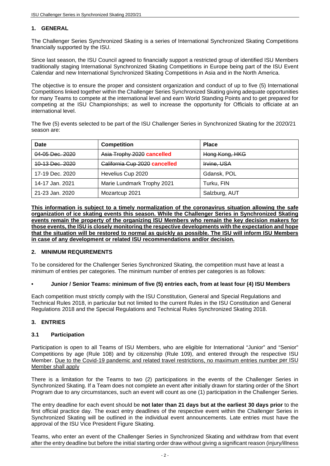# **1. GENERAL**

The Challenger Series Synchronized Skating is a series of International Synchronized Skating Competitions financially supported by the ISU.

Since last season, the ISU Council agreed to financially support a restricted group of identified ISU Members traditionally staging International Synchronized Skating Competitions in Europe being part of the ISU Event Calendar and new International Synchronized Skating Competitions in Asia and in the North America.

The objective is to ensure the proper and consistent organization and conduct of up to five (5) International Competitions linked together within the Challenger Series Synchronized Skating giving adequate opportunities for many Teams to compete at the international level and earn World Standing Points and to get prepared for competing at the ISU Championships; as well to increase the opportunity for Officials to officiate at an international level.

The five (5) events selected to be part of the ISU Challenger Series in Synchronized Skating for the 2020/21 season are:

| Date            | <b>Competition</b>                           | <b>Place</b>   |
|-----------------|----------------------------------------------|----------------|
| 04-05 Dec. 2020 | Asia Trophy 2020 cancelled                   | Hong Kong, HKG |
| 10-13 Dec. 2020 | Galifornia Gup 2020 cancelled<br>Irvine, USA |                |
| 17-19 Dec. 2020 | Hevelius Cup 2020                            | Gdansk, POL    |
| 14-17 Jan. 2021 | Marie Lundmark Trophy 2021<br>Turku, FIN     |                |
| 21-23 Jan. 2020 | Mozartcup 2021<br>Salzburg, AUT              |                |

**This information is subject to a timely normalization of the coronavirus situation allowing the safe organization of ice skating events this season. While the Challenger Series in Synchronized Skating events remain the property of the organizing ISU Members who remain the key decision makers for those events, the ISU is closely monitoring the respective developments with the expectation and hope that the situation will be restored to normal as quickly as possible. The ISU will inform ISU Members in case of any development or related ISU recommendations and/or decision.**

#### **2. MINIMUM REQUIREMENTS**

To be considered for the Challenger Series Synchronized Skating, the competition must have at least a minimum of entries per categories. The minimum number of entries per categories is as follows:

#### **• Junior / Senior Teams: minimum of five (5) entries each, from at least four (4) ISU Members**

Each competition must strictly comply with the ISU Constitution, General and Special Regulations and Technical Rules 2018, in particular but not limited to the current Rules in the ISU Constitution and General Regulations 2018 and the Special Regulations and Technical Rules Synchronized Skating 2018.

#### **3. ENTRIES**

#### **3.1 Participation**

Participation is open to all Teams of ISU Members, who are eligible for International "Junior" and "Senior" Competitions by age (Rule 108) and by citizenship (Rule 109), and entered through the respective ISU Member. Due to the Covid-19 pandemic and related travel restrictions, no maximum entries number per ISU Member shall apply

There is a limitation for the Teams to two (2) participations in the events of the Challenger Series in Synchronized Skating. If a Team does not complete an event after initially drawn for starting order of the Short Program due to any circumstances, such an event will count as one (1) participation in the Challenger Series.

The entry deadline for each event should be **not later than 21 days but at the earliest 30 days prior** to the first official practice day. The exact entry deadlines of the respective event within the Challenger Series in Synchronized Skating will be outlined in the individual event announcements. Late entries must have the approval of the ISU Vice President Figure Skating.

Teams, who enter an event of the Challenger Series in Synchronized Skating and withdraw from that event after the entry deadline but before the initial starting order draw without giving a significant reason (injury/illness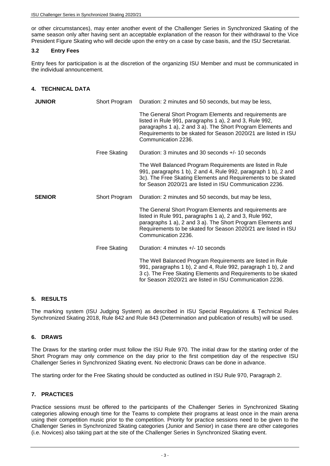or other circumstances), may enter another event of the Challenger Series in Synchronized Skating of the same season only after having sent an acceptable explanation of the reason for their withdrawal to the Vice President Figure Skating who will decide upon the entry on a case by case basis, and the ISU Secretariat.

#### **3.2 Entry Fees**

Entry fees for participation is at the discretion of the organizing ISU Member and must be communicated in the individual announcement.

# **4. TECHNICAL DATA**

| <b>JUNIOR</b> | Short Program       | Duration: 2 minutes and 50 seconds, but may be less,                                                                                                                                                                                                                       |
|---------------|---------------------|----------------------------------------------------------------------------------------------------------------------------------------------------------------------------------------------------------------------------------------------------------------------------|
|               |                     | The General Short Program Elements and requirements are<br>listed in Rule 991, paragraphs 1 a), 2 and 3, Rule 992,<br>paragraphs 1 a), 2 and 3 a). The Short Program Elements and<br>Requirements to be skated for Season 2020/21 are listed in ISU<br>Communication 2236. |
|               | <b>Free Skating</b> | Duration: 3 minutes and 30 seconds +/- 10 seconds                                                                                                                                                                                                                          |
|               |                     | The Well Balanced Program Requirements are listed in Rule<br>991, paragraphs 1 b), 2 and 4, Rule 992, paragraph 1 b), 2 and<br>3c). The Free Skating Elements and Requirements to be skated<br>for Season 2020/21 are listed in ISU Communication 2236.                    |
| <b>SENIOR</b> | Short Program       | Duration: 2 minutes and 50 seconds, but may be less,                                                                                                                                                                                                                       |
|               |                     | The General Short Program Elements and requirements are<br>listed in Rule 991, paragraphs 1 a), 2 and 3, Rule 992,<br>paragraphs 1 a), 2 and 3 a). The Short Program Elements and<br>Requirements to be skated for Season 2020/21 are listed in ISU<br>Communication 2236. |
|               | Free Skating        | Duration: 4 minutes +/- 10 seconds                                                                                                                                                                                                                                         |
|               |                     | The Well Balanced Program Requirements are listed in Rule<br>991, paragraphs 1 b), 2 and 4, Rule 992, paragraph 1 b), 2 and<br>3 c). The Free Skating Elements and Requirements to be skated<br>for Season 2020/21 are listed in ISU Communication 2236.                   |

#### **5. RESULTS**

The marking system (ISU Judging System) as described in ISU Special Regulations & Technical Rules Synchronized Skating 2018, Rule 842 and Rule 843 (Determination and publication of results) will be used.

#### **6. DRAWS**

The Draws for the starting order must follow the ISU Rule 970. The initial draw for the starting order of the Short Program may only commence on the day prior to the first competition day of the respective ISU Challenger Series in Synchronized Skating event. No electronic Draws can be done in advance.

The starting order for the Free Skating should be conducted as outlined in ISU Rule 970, Paragraph 2.

# **7. PRACTICES**

Practice sessions must be offered to the participants of the Challenger Series in Synchronized Skating categories allowing enough time for the Teams to complete their programs at least once in the main arena using their competition music prior to the competition. Priority for practice sessions need to be given to the Challenger Series in Synchronized Skating categories (Junior and Senior) in case there are other categories (i.e. Novices) also taking part at the site of the Challenger Series in Synchronized Skating event.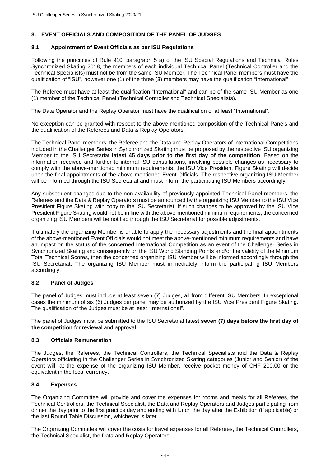# **8. EVENT OFFICIALS AND COMPOSITION OF THE PANEL OF JUDGES**

# **8.1 Appointment of Event Officials as per ISU Regulations**

Following the principles of Rule 910, paragraph 5 a) of the ISU Special Regulations and Technical Rules Synchronized Skating 2018, the members of each individual Technical Panel (Technical Controller and the Technical Specialists) must not be from the same ISU Member. The Technical Panel members must have the qualification of "ISU", however one (1) of the three (3) members may have the qualification "International".

The Referee must have at least the qualification "International" and can be of the same ISU Member as one (1) member of the Technical Panel (Technical Controller and Technical Specialists).

The Data Operator and the Replay Operator must have the qualification of at least "International".

No exception can be granted with respect to the above-mentioned composition of the Technical Panels and the qualification of the Referees and Data & Replay Operators.

The Technical Panel members, the Referee and the Data and Replay Operators of International Competitions included in the Challenger Series in Synchronized Skating must be proposed by the respective ISU organizing Member to the ISU Secretariat **latest 45 days prior to the first day of the competition**. Based on the information received and further to internal ISU consultations, involving possible changes as necessary to comply with the above-mentioned minimum requirements, the ISU Vice President Figure Skating will decide upon the final appointments of the above-mentioned Event Officials. The respective organizing ISU Member will be informed through the ISU Secretariat and must inform the participating ISU Members accordingly.

Any subsequent changes due to the non-availability of previously appointed Technical Panel members, the Referees and the Data & Replay Operators must be announced by the organizing ISU Member to the ISU Vice President Figure Skating with copy to the ISU Secretariat. If such changes to be approved by the ISU Vice President Figure Skating would not be in line with the above-mentioned minimum requirements, the concerned organizing ISU Members will be notified through the ISU Secretariat for possible adjustments.

If ultimately the organizing Member is unable to apply the necessary adjustments and the final appointments of the above-mentioned Event Officials would not meet the above-mentioned minimum requirements and have an impact on the status of the concerned International Competition as an event of the Challenger Series in Synchronized Skating and consequently on the ISU World Standing Points and/or the validity of the Minimum Total Technical Scores, then the concerned organizing ISU Member will be informed accordingly through the ISU Secretariat. The organizing ISU Member must immediately inform the participating ISU Members accordingly.

# **8.2 Panel of Judges**

The panel of Judges must include at least seven (7) Judges, all from different ISU Members. In exceptional cases the minimum of six (6) Judges per panel may be authorized by the ISU Vice President Figure Skating. The qualification of the Judges must be at least "International".

The panel of Judges must be submitted to the ISU Secretariat latest **seven (7) days before the first day of the competition** for reviewal and approval.

#### **8.3 Officials Remuneration**

The Judges, the Referees, the Technical Controllers, the Technical Specialists and the Data & Replay Operators officiating in the Challenger Series in Synchronized Skating categories (Junior and Senior) of the event will, at the expense of the organizing ISU Member, receive pocket money of CHF 200.00 or the equivalent in the local currency.

# **8.4 Expenses**

The Organizing Committee will provide and cover the expenses for rooms and meals for all Referees, the Technical Controllers, the Technical Specialist, the Data and Replay Operators and Judges participating from dinner the day prior to the first practice day and ending with lunch the day after the Exhibition (if applicable) or the last Round Table Discussion, whichever is later.

The Organizing Committee will cover the costs for travel expenses for all Referees, the Technical Controllers, the Technical Specialist, the Data and Replay Operators.